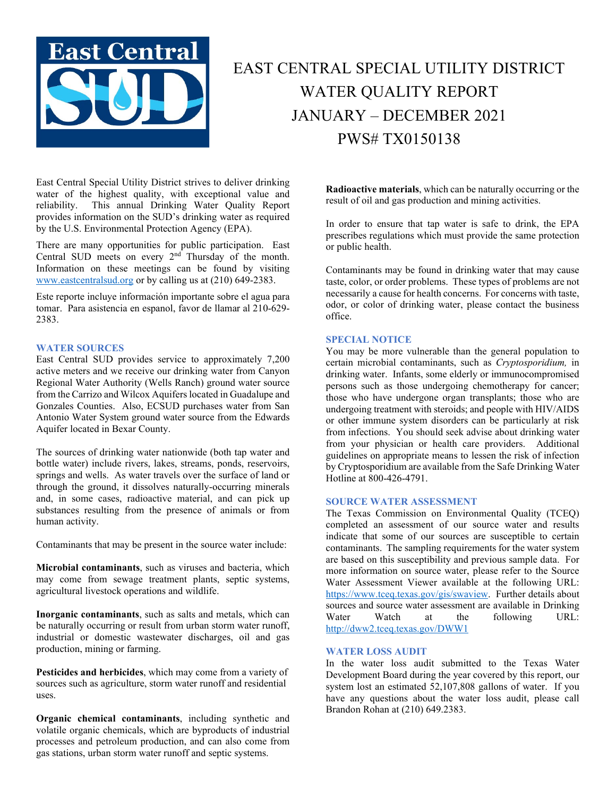

# EAST CENTRAL SPECIAL UTILITY DISTRICT WATER QUALITY REPORT JANUARY – DECEMBER 2021 PWS# TX0150138

East Central Special Utility District strives to deliver drinking water of the highest quality, with exceptional value and reliability. This annual Drinking Water Quality Report provides information on the SUD's drinking water as required by the U.S. Environmental Protection Agency (EPA).

There are many opportunities for public participation. East Central SUD meets on every  $2<sup>nd</sup>$  Thursday of the month. Information on these meetings can be found by visiting [www.eastcentralsud.org](http://www.eastcentralsud.org/) or by calling us at (210) 649-2383.

Este reporte incluye información importante sobre el agua para tomar. Para asistencia en espanol, favor de llamar al 210-629- 2383.

### **WATER SOURCES**

East Central SUD provides service to approximately 7,200 active meters and we receive our drinking water from Canyon Regional Water Authority (Wells Ranch) ground water source from the Carrizo and Wilcox Aquifers located in Guadalupe and Gonzales Counties. Also, ECSUD purchases water from San Antonio Water System ground water source from the Edwards Aquifer located in Bexar County.

The sources of drinking water nationwide (both tap water and bottle water) include rivers, lakes, streams, ponds, reservoirs, springs and wells. As water travels over the surface of land or through the ground, it dissolves naturally-occurring minerals and, in some cases, radioactive material, and can pick up substances resulting from the presence of animals or from human activity.

Contaminants that may be present in the source water include:

**Microbial contaminants**, such as viruses and bacteria, which may come from sewage treatment plants, septic systems, agricultural livestock operations and wildlife.

**Inorganic contaminants**, such as salts and metals, which can be naturally occurring or result from urban storm water runoff, industrial or domestic wastewater discharges, oil and gas production, mining or farming.

**Pesticides and herbicides**, which may come from a variety of sources such as agriculture, storm water runoff and residential uses.

**Organic chemical contaminants**, including synthetic and volatile organic chemicals, which are byproducts of industrial processes and petroleum production, and can also come from gas stations, urban storm water runoff and septic systems.

**Radioactive materials**, which can be naturally occurring or the result of oil and gas production and mining activities.

In order to ensure that tap water is safe to drink, the EPA prescribes regulations which must provide the same protection or public health.

Contaminants may be found in drinking water that may cause taste, color, or order problems. These types of problems are not necessarily a cause for health concerns. For concerns with taste, odor, or color of drinking water, please contact the business office.

### **SPECIAL NOTICE**

You may be more vulnerable than the general population to certain microbial contaminants, such as *Cryptosporidium,* in drinking water. Infants, some elderly or immunocompromised persons such as those undergoing chemotherapy for cancer; those who have undergone organ transplants; those who are undergoing treatment with steroids; and people with HIV/AIDS or other immune system disorders can be particularly at risk from infections. You should seek advise about drinking water from your physician or health care providers. Additional guidelines on appropriate means to lessen the risk of infection by Cryptosporidium are available from the Safe Drinking Water Hotline at 800-426-4791.

### **SOURCE WATER ASSESSMENT**

The Texas Commission on Environmental Quality (TCEQ) completed an assessment of our source water and results indicate that some of our sources are susceptible to certain contaminants. The sampling requirements for the water system are based on this susceptibility and previous sample data. For more information on source water, please refer to the Source Water Assessment Viewer available at the following URL: [https://www.tceq.texas.gov/gis/swaview.](https://www.tceq.texas.gov/gis/swaview) Further details about sources and source water assessment are available in Drinking Water Watch at the following URL: <http://dww2.tceq.texas.gov/DWW1>

### **WATER LOSS AUDIT**

In the water loss audit submitted to the Texas Water Development Board during the year covered by this report, our system lost an estimated 52,107,808 gallons of water. If you have any questions about the water loss audit, please call Brandon Rohan at (210) 649.2383.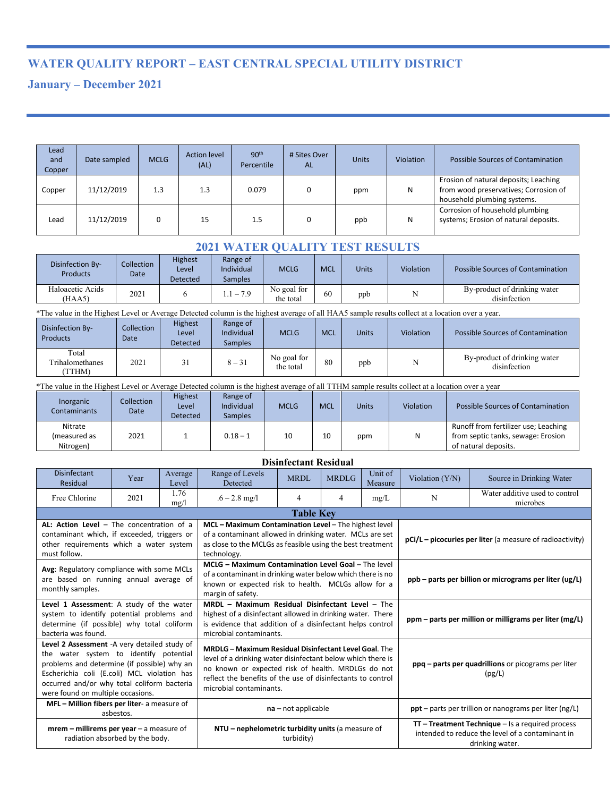# **WATER QUALITY REPORT – EAST CENTRAL SPECIAL UTILITY DISTRICT**

## **January – December 2021**

| Lead<br>and<br>Copper | Date sampled | <b>MCLG</b> | <b>Action level</b><br>(AL) | 90 <sup>th</sup><br>Percentile | # Sites Over<br><b>AL</b> | <b>Units</b> | Violation | Possible Sources of Contamination                                                                             |
|-----------------------|--------------|-------------|-----------------------------|--------------------------------|---------------------------|--------------|-----------|---------------------------------------------------------------------------------------------------------------|
| Copper                | 11/12/2019   | 1.3         | 1.3                         | 0.079                          |                           | ppm          | N         | Erosion of natural deposits; Leaching<br>from wood preservatives; Corrosion of<br>household plumbing systems. |
| Lead                  | 11/12/2019   |             | 15                          | 1.5                            |                           | ppb          |           | Corrosion of household plumbing<br>systems; Erosion of natural deposits.                                      |

### **2021 WATER QUALITY TEST RESULTS**

| Disinfection By-<br><b>Products</b> | Collection<br>Date | <b>Highest</b><br>Level<br>Detected | Range of<br>Individual<br><b>Samples</b> | <b>MCLG</b>              | <b>MCL</b> | Units | Violation | Possible Sources of Contamination            |
|-------------------------------------|--------------------|-------------------------------------|------------------------------------------|--------------------------|------------|-------|-----------|----------------------------------------------|
| Haloacetic Acids<br>(HAA5)          | 2021               |                                     | $-1 - 7.9$                               | No goal for<br>the total | 60         | ppb   |           | By-product of drinking water<br>disinfection |

\*The value in the Highest Level or Average Detected column is the highest average of all HAA5 sample results collect at a location over a year.

| Disinfection By-<br>Products      | Collection<br>Date | <b>Highest</b><br>Level<br>Detected | Range of<br>Individual<br><b>Samples</b> | <b>MCLG</b>              | <b>MCL</b> | <b>Units</b> | <b>Violation</b> | Possible Sources of Contamination            |
|-----------------------------------|--------------------|-------------------------------------|------------------------------------------|--------------------------|------------|--------------|------------------|----------------------------------------------|
| Total<br>Trihalomethanes<br>TTHM) | 2021               | 31                                  | $8 - 31$                                 | No goal for<br>the total | 80         | ppb          |                  | By-product of drinking water<br>disinfection |

\*The value in the Highest Level or Average Detected column is the highest average of all TTHM sample results collect at a location over a year

| Inorganic<br>Contaminants            | <b>Collection</b><br>Date | <b>Highest</b><br>Level<br>Detected | Range of<br><b>Individual</b><br><b>Samples</b> | <b>MCLG</b> | <b>MCL</b> | Units | Violation | Possible Sources of Contamination                                                                  |
|--------------------------------------|---------------------------|-------------------------------------|-------------------------------------------------|-------------|------------|-------|-----------|----------------------------------------------------------------------------------------------------|
| Nitrate<br>(measured as<br>Nitrogen) | 2021                      |                                     | $0.18 - 1$                                      | 10          | 10         | ppm   | N         | Runoff from fertilizer use; Leaching<br>from septic tanks, sewage: Erosion<br>of natural deposits. |

| <b>Disinfectant Residual</b>                                                                                                                                                                                                                                             |                                                                                    |                  |                                                                                                                                                                                                                                                                             |                |              |                                                                                                                           |                                                           |                                                                 |  |  |
|--------------------------------------------------------------------------------------------------------------------------------------------------------------------------------------------------------------------------------------------------------------------------|------------------------------------------------------------------------------------|------------------|-----------------------------------------------------------------------------------------------------------------------------------------------------------------------------------------------------------------------------------------------------------------------------|----------------|--------------|---------------------------------------------------------------------------------------------------------------------------|-----------------------------------------------------------|-----------------------------------------------------------------|--|--|
| <b>Disinfectant</b><br>Residual                                                                                                                                                                                                                                          | Year                                                                               | Average<br>Level | Range of Levels<br>Detected                                                                                                                                                                                                                                                 | MRDL           | <b>MRDLG</b> | Unit of<br>Measure                                                                                                        | Violation $(Y/N)$                                         | Source in Drinking Water                                        |  |  |
| Free Chlorine                                                                                                                                                                                                                                                            | 2021                                                                               | 1.76<br>mg/1     | $.6 - 2.8$ mg/l                                                                                                                                                                                                                                                             | $\overline{4}$ | 4            | mg/L                                                                                                                      | N                                                         | Water additive used to control<br>microbes                      |  |  |
|                                                                                                                                                                                                                                                                          | <b>Table Key</b>                                                                   |                  |                                                                                                                                                                                                                                                                             |                |              |                                                                                                                           |                                                           |                                                                 |  |  |
| AL: Action Level - The concentration of a<br>contaminant which, if exceeded, triggers or<br>other requirements which a water system<br>must follow.                                                                                                                      |                                                                                    |                  | MCL - Maximum Contamination Level - The highest level<br>of a contaminant allowed in drinking water. MCLs are set<br>as close to the MCLGs as feasible using the best treatment<br>technology.                                                                              |                |              |                                                                                                                           | pCi/L – picocuries per liter (a measure of radioactivity) |                                                                 |  |  |
| Avg: Regulatory compliance with some MCLs<br>are based on running annual average of<br>monthly samples.                                                                                                                                                                  |                                                                                    |                  | MCLG - Maximum Contamination Level Goal - The level<br>of a contaminant in drinking water below which there is no<br>known or expected risk to health. MCLGs allow for a<br>margin of safety.                                                                               |                |              | ppb – parts per billion or micrograms per liter (ug/L)                                                                    |                                                           |                                                                 |  |  |
| Level 1 Assessment: A study of the water<br>system to identify potential problems and<br>determine (if possible) why total coliform<br>bacteria was found.                                                                                                               |                                                                                    |                  | MRDL - Maximum Residual Disinfectant Level - The<br>highest of a disinfectant allowed in drinking water. There<br>is evidence that addition of a disinfectant helps control<br>microbial contaminants.                                                                      |                |              | ppm – parts per million or milligrams per liter (mg/L)                                                                    |                                                           |                                                                 |  |  |
| Level 2 Assessment -A very detailed study of<br>the water system to identify potential<br>problems and determine (if possible) why an<br>Escherichia coli (E.coli) MCL violation has<br>occurred and/or why total coliform bacteria<br>were found on multiple occasions. |                                                                                    |                  | <b>MRDLG - Maximum Residual Disinfectant Level Goal. The</b><br>level of a drinking water disinfectant below which there is<br>no known or expected risk of health. MRDLGs do not<br>reflect the benefits of the use of disinfectants to control<br>microbial contaminants. |                |              | ppq – parts per quadrillions or picograms per liter<br>(pg/L)                                                             |                                                           |                                                                 |  |  |
|                                                                                                                                                                                                                                                                          | MFL - Million fibers per liter- a measure of<br>$na$ – not applicable<br>asbestos. |                  |                                                                                                                                                                                                                                                                             |                |              |                                                                                                                           |                                                           | $\text{ppt}$ – parts per trillion or nanograms per liter (ng/L) |  |  |
| $m$ rem – millirems per year – a measure of                                                                                                                                                                                                                              | radiation absorbed by the body.                                                    |                  | NTU – nephelometric turbidity units (a measure of                                                                                                                                                                                                                           | turbidity)     |              | $TT - Treatment Technique - Is a required process$<br>intended to reduce the level of a contaminant in<br>drinking water. |                                                           |                                                                 |  |  |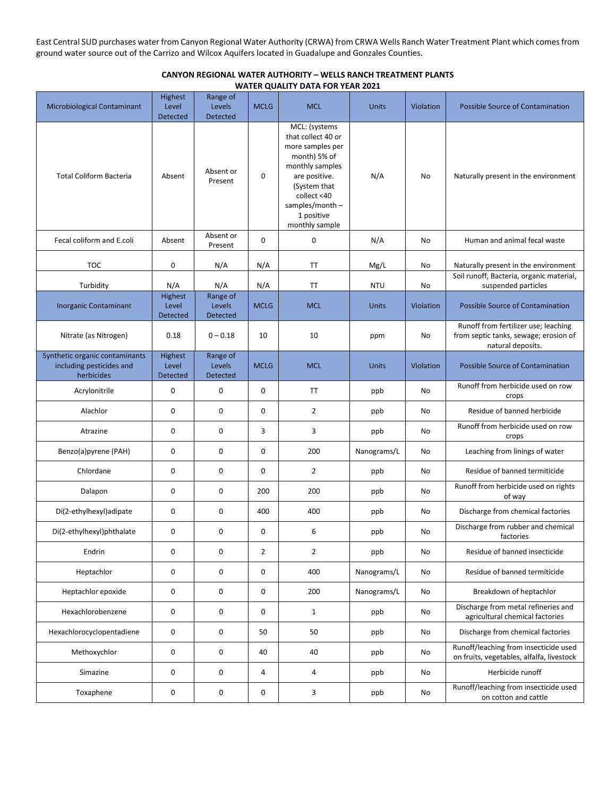East Central SUD purchases water from Canyon Regional Water Authority (CRWA) from CRWA Wells Ranch Water Treatment Plant which comesfrom ground water source out of the Carrizo and Wilcox Aquifers located in Guadalupe and Gonzales Counties.

### **CANYON REGIONAL WATER AUTHORITY – WELLS RANCH TREATMENT PLANTS WATER QUALITY DATA FOR YEAR 2021**

| Microbiological Contaminant                                              | Highest<br>Level<br>Detected               | Range of<br>Levels<br>Detected        | <b>MCLG</b>    | <b>MCL</b>                                                                                                                                                                                      | <b>Units</b> | Violation | Possible Source of Contamination                                                                   |
|--------------------------------------------------------------------------|--------------------------------------------|---------------------------------------|----------------|-------------------------------------------------------------------------------------------------------------------------------------------------------------------------------------------------|--------------|-----------|----------------------------------------------------------------------------------------------------|
| <b>Total Coliform Bacteria</b>                                           | Absent                                     | Absent or<br>Present                  | 0              | MCL: (systems<br>that collect 40 or<br>more samples per<br>month) 5% of<br>monthly samples<br>are positive.<br>(System that<br>collect <40<br>samples/month $-$<br>1 positive<br>monthly sample | N/A          | No        | Naturally present in the environment                                                               |
| Fecal coliform and E.coli                                                | Absent                                     | Absent or<br>Present                  | 0              | 0                                                                                                                                                                                               | N/A          | No        | Human and animal fecal waste                                                                       |
| <b>TOC</b>                                                               | 0                                          | N/A                                   | N/A            | <b>TT</b>                                                                                                                                                                                       | Mg/L         | No        | Naturally present in the environment                                                               |
| Turbidity                                                                | N/A                                        | N/A                                   | N/A            | <b>TT</b>                                                                                                                                                                                       | <b>NTU</b>   | No        | Soil runoff, Bacteria, organic material,<br>suspended particles                                    |
| <b>Inorganic Contaminant</b>                                             | Highest<br>Level<br>Detected               | Range of<br>Levels<br><b>Detected</b> | <b>MCLG</b>    | <b>MCL</b>                                                                                                                                                                                      | <b>Units</b> | Violation | Possible Source of Contamination                                                                   |
| Nitrate (as Nitrogen)                                                    | 0.18                                       | $0 - 0.18$                            | 10             | 10                                                                                                                                                                                              | ppm          | No        | Runoff from fertilizer use; leaching<br>from septic tanks, sewage; erosion of<br>natural deposits. |
| Synthetic organic contaminants<br>including pesticides and<br>herbicides | <b>Highest</b><br>Level<br><b>Detected</b> | Range of<br>Levels<br><b>Detected</b> | <b>MCLG</b>    | <b>MCL</b>                                                                                                                                                                                      | Units        | Violation | Possible Source of Contamination                                                                   |
| Acrylonitrile                                                            | 0                                          | 0                                     | 0              | <b>TT</b>                                                                                                                                                                                       | ppb          | No        | Runoff from herbicide used on row<br>crops                                                         |
| Alachlor                                                                 | $\mathbf 0$                                | 0                                     | 0              | $\overline{2}$                                                                                                                                                                                  | ppb          | No        | Residue of banned herbicide                                                                        |
| Atrazine                                                                 | 0                                          | 0                                     | 3              | 3                                                                                                                                                                                               | ppb          | No        | Runoff from herbicide used on row<br>crops                                                         |
| Benzo(a)pyrene (PAH)                                                     | $\mathbf 0$                                | 0                                     | 0              | 200                                                                                                                                                                                             | Nanograms/L  | No        | Leaching from linings of water                                                                     |
| Chlordane                                                                | $\mathbf 0$                                | 0                                     | 0              | $\overline{2}$                                                                                                                                                                                  | ppb          | No        | Residue of banned termiticide                                                                      |
| Dalapon                                                                  | 0                                          | 0                                     | 200            | 200                                                                                                                                                                                             | ppb          | No        | Runoff from herbicide used on rights<br>of way                                                     |
| Di(2-ethylhexyl)adipate                                                  | 0                                          | 0                                     | 400            | 400                                                                                                                                                                                             | ppb          | No        | Discharge from chemical factories                                                                  |
| Di(2-ethylhexyl)phthalate                                                | 0                                          | 0                                     | 0              | 6                                                                                                                                                                                               | ppb          | No        | Discharge from rubber and chemical<br>factories                                                    |
| Endrin                                                                   | $\mathbf 0$                                | 0                                     | $\overline{2}$ | $\overline{2}$                                                                                                                                                                                  | ppb          | No        | Residue of banned insecticide                                                                      |
| Heptachlor                                                               | 0                                          | 0                                     | 0              | 400                                                                                                                                                                                             | Nanograms/L  | No        | Residue of banned termiticide                                                                      |
| Heptachlor epoxide                                                       | $\pmb{0}$                                  | 0                                     | 0              | 200                                                                                                                                                                                             | Nanograms/L  | No        | Breakdown of heptachlor                                                                            |
| Hexachlorobenzene                                                        | 0                                          | 0                                     | 0              | $\mathbf{1}$                                                                                                                                                                                    | ppb          | No        | Discharge from metal refineries and<br>agricultural chemical factories                             |
| Hexachlorocyclopentadiene                                                | 0                                          | 0                                     | 50             | 50                                                                                                                                                                                              | ppb          | No        | Discharge from chemical factories                                                                  |
| Methoxychlor                                                             | $\pmb{0}$                                  | 0                                     | 40             | 40                                                                                                                                                                                              | ppb          | No        | Runoff/leaching from insecticide used<br>on fruits, vegetables, alfalfa, livestock                 |
| Simazine                                                                 | 0                                          | 0                                     | 4              | 4                                                                                                                                                                                               | ppb          | No        | Herbicide runoff                                                                                   |
| Toxaphene                                                                | 0                                          | 0                                     | 0              | 3                                                                                                                                                                                               | ppb          | No        | Runoff/leaching from insecticide used<br>on cotton and cattle                                      |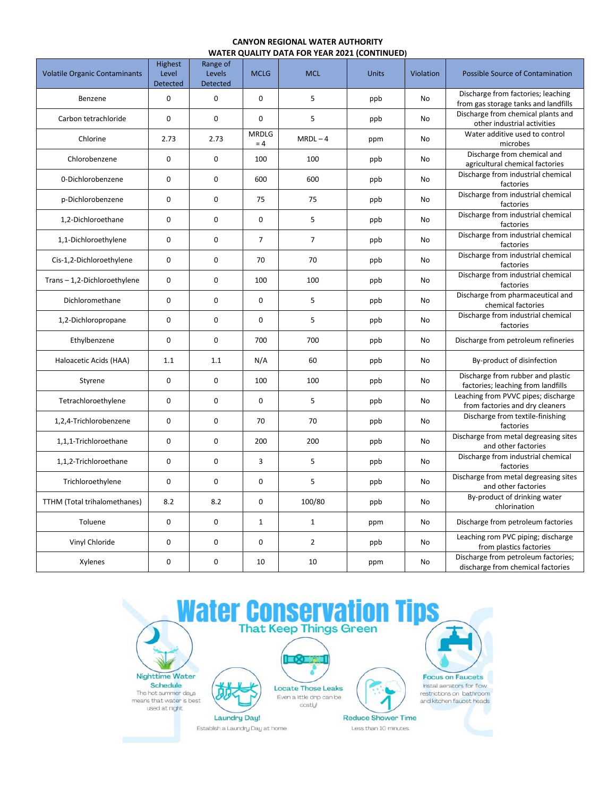#### **CANYON REGIONAL WATER AUTHORITY WATER QUALITY DATA FOR YEAR 2021 (CONTINUED)**

| <b>Volatile Organic Contaminants</b> | Highest<br>Level<br><b>Detected</b> | Range of<br>Levels<br><b>Detected</b> | <b>MCLG</b>           | <b>MCL</b>     | <b>Units</b> | Violation | Possible Source of Contamination                                           |
|--------------------------------------|-------------------------------------|---------------------------------------|-----------------------|----------------|--------------|-----------|----------------------------------------------------------------------------|
| Benzene                              | 0                                   | $\mathbf 0$                           | $\mathbf 0$           | 5              | ppb          | No        | Discharge from factories; leaching<br>from gas storage tanks and landfills |
| Carbon tetrachloride                 | 0                                   | $\mathbf 0$                           | 0                     | 5              | ppb          | <b>No</b> | Discharge from chemical plants and<br>other industrial activities          |
| Chlorine                             | 2.73                                | 2.73                                  | <b>MRDLG</b><br>$= 4$ | $MRDL-4$       | ppm          | No        | Water additive used to control<br>microbes                                 |
| Chlorobenzene                        | 0                                   | $\mathbf 0$                           | 100                   | 100            | ppb          | No        | Discharge from chemical and<br>agricultural chemical factories             |
| 0-Dichlorobenzene                    | 0                                   | $\mathbf 0$                           | 600                   | 600            | ppb          | No        | Discharge from industrial chemical<br>factories                            |
| p-Dichlorobenzene                    | 0                                   | $\mathbf 0$                           | 75                    | 75             | ppb          | No        | Discharge from industrial chemical<br>factories                            |
| 1,2-Dichloroethane                   | $\mathbf 0$                         | $\mathbf 0$                           | $\mathbf 0$           | 5              | ppb          | No        | Discharge from industrial chemical<br>factories                            |
| 1,1-Dichloroethylene                 | 0                                   | $\mathbf 0$                           | $\overline{7}$        | $\overline{7}$ | ppb          | No        | Discharge from industrial chemical<br>factories                            |
| Cis-1,2-Dichloroethylene             | 0                                   | 0                                     | 70                    | 70             | ppb          | No        | Discharge from industrial chemical<br>factories                            |
| Trans-1,2-Dichloroethylene           | $\mathbf 0$                         | $\mathbf 0$                           | 100                   | 100            | ppb          | <b>No</b> | Discharge from industrial chemical<br>factories                            |
| Dichloromethane                      | 0                                   | $\mathbf 0$                           | 0                     | 5              | ppb          | No        | Discharge from pharmaceutical and<br>chemical factories                    |
| 1,2-Dichloropropane                  | 0                                   | $\mathbf 0$                           | 0                     | 5              | ppb          | No        | Discharge from industrial chemical<br>factories                            |
| Ethylbenzene                         | 0                                   | $\mathbf 0$                           | 700                   | 700            | ppb          | No        | Discharge from petroleum refineries                                        |
| Haloacetic Acids (HAA)               | 1.1                                 | 1.1                                   | N/A                   | 60             | ppb          | No        | By-product of disinfection                                                 |
| Styrene                              | 0                                   | $\mathbf 0$                           | 100                   | 100            | ppb          | No        | Discharge from rubber and plastic<br>factories; leaching from landfills    |
| Tetrachloroethylene                  | 0                                   | $\mathbf 0$                           | 0                     | 5              | ppb          | No        | Leaching from PVVC pipes; discharge<br>from factories and dry cleaners     |
| 1,2,4-Trichlorobenzene               | 0                                   | $\mathbf 0$                           | 70                    | 70             | ppb          | No        | Discharge from textile-finishing<br>factories                              |
| 1,1,1-Trichloroethane                | 0                                   | $\mathbf 0$                           | 200                   | 200            | ppb          | No        | Discharge from metal degreasing sites<br>and other factories               |
| 1,1,2-Trichloroethane                | 0                                   | $\mathbf 0$                           | 3                     | 5              | ppb          | No        | Discharge from industrial chemical<br>factories                            |
| Trichloroethylene                    | 0                                   | $\mathbf 0$                           | 0                     | 5              | ppb          | <b>No</b> | Discharge from metal degreasing sites<br>and other factories               |
| TTHM (Total trihalomethanes)         | 8.2                                 | 8.2                                   | 0                     | 100/80         | ppb          | No        | By-product of drinking water<br>chlorination                               |
| Toluene                              | 0                                   | $\mathbf 0$                           | $\mathbf 1$           | $\mathbf{1}$   | ppm          | No        | Discharge from petroleum factories                                         |
| Vinyl Chloride                       | 0                                   | $\mathbf 0$                           | 0                     | $\overline{2}$ | ppb          | No        | Leaching rom PVC piping; discharge<br>from plastics factories              |
| Xylenes                              | 0                                   | $\mathbf 0$                           | 10                    | 10             | ppm          | No        | Discharge from petroleum factories;<br>discharge from chemical factories   |

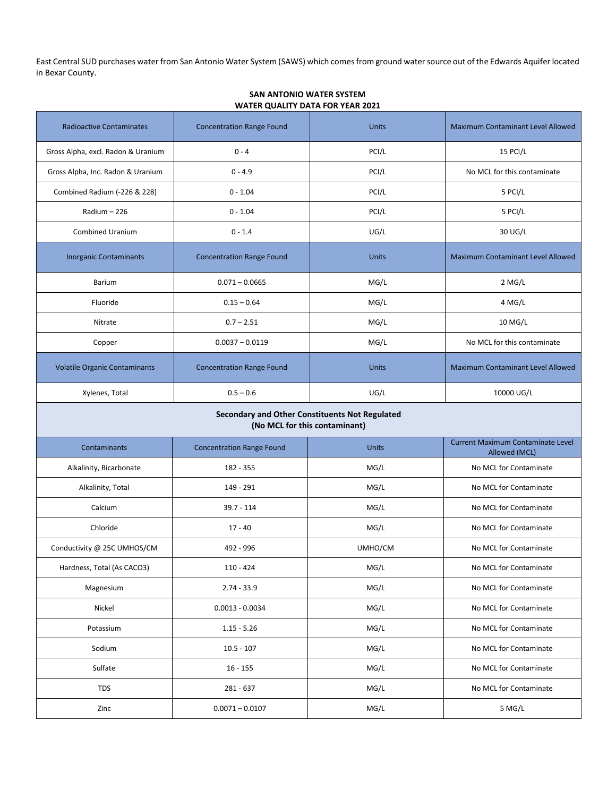East Central SUD purchases water from San Antonio Water System (SAWS) which comes from ground water source out of the Edwards Aquifer located in Bexar County.

| <b>Radioactive Contaminates</b>                                                 | <b>Concentration Range Found</b> | <b>Units</b> | <b>Maximum Contaminant Level Allowed</b>                  |  |  |  |  |  |
|---------------------------------------------------------------------------------|----------------------------------|--------------|-----------------------------------------------------------|--|--|--|--|--|
| Gross Alpha, excl. Radon & Uranium                                              | $0 - 4$                          | PCI/L        | 15 PCI/L                                                  |  |  |  |  |  |
| Gross Alpha, Inc. Radon & Uranium                                               | $0 - 4.9$                        | PCI/L        | No MCL for this contaminate                               |  |  |  |  |  |
| Combined Radium (-226 & 228)                                                    | $0 - 1.04$                       | PCI/L        | 5 PCI/L                                                   |  |  |  |  |  |
| Radium - 226                                                                    | $0 - 1.04$                       | PCI/L        | 5 PCI/L                                                   |  |  |  |  |  |
| <b>Combined Uranium</b>                                                         | $0 - 1.4$                        | UG/L         | 30 UG/L                                                   |  |  |  |  |  |
| <b>Inorganic Contaminants</b>                                                   | <b>Concentration Range Found</b> | <b>Units</b> | Maximum Contaminant Level Allowed                         |  |  |  |  |  |
| Barium                                                                          | $0.071 - 0.0665$                 | MG/L         | 2 MG/L                                                    |  |  |  |  |  |
| Fluoride                                                                        | $0.15 - 0.64$                    | MG/L         | 4 MG/L                                                    |  |  |  |  |  |
| Nitrate                                                                         | $0.7 - 2.51$                     | MG/L         | 10 MG/L                                                   |  |  |  |  |  |
| Copper                                                                          | $0.0037 - 0.0119$                | MG/L         | No MCL for this contaminate                               |  |  |  |  |  |
| <b>Volatile Organic Contaminants</b>                                            | <b>Concentration Range Found</b> | <b>Units</b> | <b>Maximum Contaminant Level Allowed</b>                  |  |  |  |  |  |
| Xylenes, Total                                                                  | $0.5 - 0.6$                      | UG/L         | 10000 UG/L                                                |  |  |  |  |  |
| Secondary and Other Constituents Not Regulated<br>(No MCL for this contaminant) |                                  |              |                                                           |  |  |  |  |  |
| Contaminants                                                                    | <b>Concentration Range Found</b> | <b>Units</b> | <b>Current Maximum Contaminate Level</b><br>Allowed (MCL) |  |  |  |  |  |
| Alkalinity, Bicarbonate                                                         | 182 - 355                        | MG/L         | No MCL for Contaminate                                    |  |  |  |  |  |
| Alkalinity, Total                                                               | 149 - 291                        | MG/L         | No MCL for Contaminate                                    |  |  |  |  |  |
| Calcium                                                                         | $39.7 - 114$                     | MG/L         | No MCL for Contaminate                                    |  |  |  |  |  |
| Chloride                                                                        | $17 - 40$                        | MG/L         | No MCL for Contaminate                                    |  |  |  |  |  |
| Conductivity @ 25C UMHOS/CM                                                     | 492 - 996                        | UMHO/CM      | No MCL for Contaminate                                    |  |  |  |  |  |
| Hardness, Total (As CACO3)                                                      | $110 - 424$                      | MG/L         | No MCL for Contaminate                                    |  |  |  |  |  |
| Magnesium                                                                       | $2.74 - 33.9$                    | MG/L         | No MCL for Contaminate                                    |  |  |  |  |  |
| Nickel                                                                          | $0.0013 - 0.0034$                | MG/L         | No MCL for Contaminate                                    |  |  |  |  |  |
| Potassium                                                                       | $1.15 - 5.26$                    | MG/L         | No MCL for Contaminate                                    |  |  |  |  |  |
| Sodium                                                                          | $10.5 - 107$                     | MG/L         | No MCL for Contaminate                                    |  |  |  |  |  |
| Sulfate                                                                         | $16 - 155$                       | MG/L         | No MCL for Contaminate                                    |  |  |  |  |  |
| <b>TDS</b>                                                                      | 281 - 637                        | MG/L         | No MCL for Contaminate                                    |  |  |  |  |  |
| Zinc                                                                            | $0.0071 - 0.0107$                | MG/L         | 5 MG/L                                                    |  |  |  |  |  |

### **SAN ANTONIO WATER SYSTEM WATER QUALITY DATA FOR YEAR 2021**